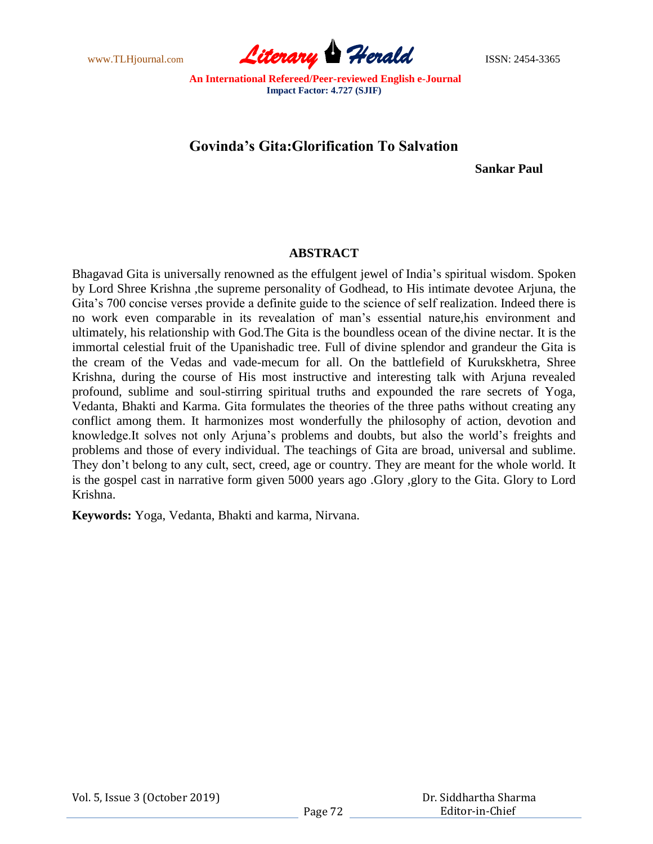

# **Govinda's Gita:Glorification To Salvation**

 **Sankar Paul**

# **ABSTRACT**

Bhagavad Gita is universally renowned as the effulgent jewel of India"s spiritual wisdom. Spoken by Lord Shree Krishna ,the supreme personality of Godhead, to His intimate devotee Arjuna, the Gita"s 700 concise verses provide a definite guide to the science of self realization. Indeed there is no work even comparable in its revealation of man"s essential nature,his environment and ultimately, his relationship with God.The Gita is the boundless ocean of the divine nectar. It is the immortal celestial fruit of the Upanishadic tree. Full of divine splendor and grandeur the Gita is the cream of the Vedas and vade-mecum for all. On the battlefield of Kurukskhetra, Shree Krishna, during the course of His most instructive and interesting talk with Arjuna revealed profound, sublime and soul-stirring spiritual truths and expounded the rare secrets of Yoga, Vedanta, Bhakti and Karma. Gita formulates the theories of the three paths without creating any conflict among them. It harmonizes most wonderfully the philosophy of action, devotion and knowledge.It solves not only Arjuna"s problems and doubts, but also the world"s freights and problems and those of every individual. The teachings of Gita are broad, universal and sublime. They don"t belong to any cult, sect, creed, age or country. They are meant for the whole world. It is the gospel cast in narrative form given 5000 years ago .Glory ,glory to the Gita. Glory to Lord Krishna.

**Keywords:** Yoga, Vedanta, Bhakti and karma, Nirvana.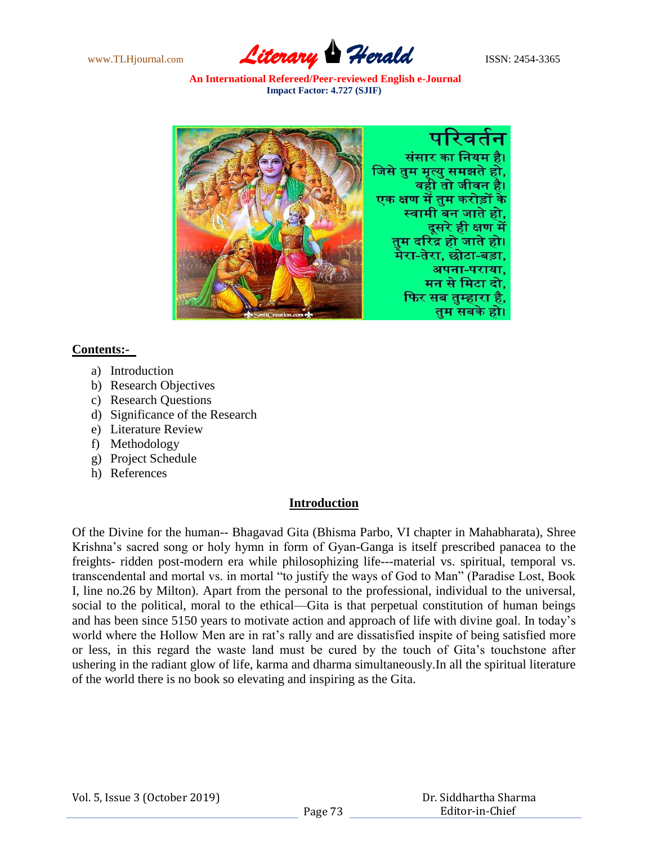





#### **Contents:-**

- a) Introduction
- b) Research Objectives
- c) Research Questions
- d) Significance of the Research
- e) Literature Review
- f) Methodology
- g) Project Schedule
- h) References

### **Introduction**

Of the Divine for the human-- Bhagavad Gita (Bhisma Parbo, VI chapter in Mahabharata), Shree Krishna"s sacred song or holy hymn in form of Gyan-Ganga is itself prescribed panacea to the freights- ridden post-modern era while philosophizing life---material vs. spiritual, temporal vs. transcendental and mortal vs. in mortal "to justify the ways of God to Man" (Paradise Lost, Book I, line no.26 by Milton). Apart from the personal to the professional, individual to the universal, social to the political, moral to the ethical—Gita is that perpetual constitution of human beings and has been since 5150 years to motivate action and approach of life with divine goal. In today"s world where the Hollow Men are in rat's rally and are dissatisfied inspite of being satisfied more or less, in this regard the waste land must be cured by the touch of Gita"s touchstone after ushering in the radiant glow of life, karma and dharma simultaneously.In all the spiritual literature of the world there is no book so elevating and inspiring as the Gita.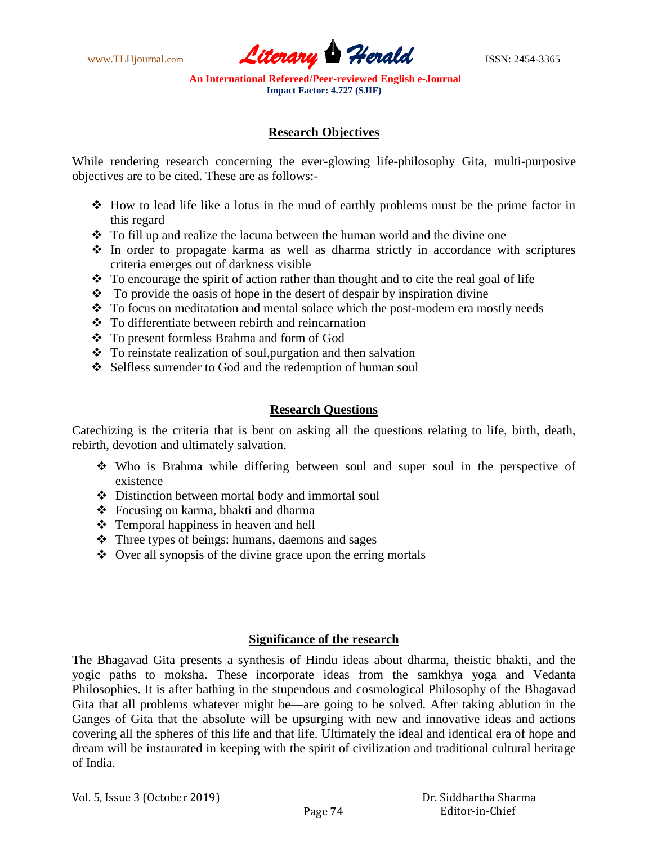www.TLHjournal.com **Literary Herald Herald** ISSN: 2454-3365

# **Research Objectives**

While rendering research concerning the ever-glowing life-philosophy Gita, multi-purposive objectives are to be cited. These are as follows:-

- How to lead life like a lotus in the mud of earthly problems must be the prime factor in this regard
- To fill up and realize the lacuna between the human world and the divine one
- In order to propagate karma as well as dharma strictly in accordance with scriptures criteria emerges out of darkness visible
- $\cdot \cdot$  To encourage the spirit of action rather than thought and to cite the real goal of life
- $\bullet$  To provide the oasis of hope in the desert of despair by inspiration divine
- \* To focus on meditatation and mental solace which the post-modern era mostly needs
- To differentiate between rebirth and reincarnation
- To present formless Brahma and form of God
- $\cdot \cdot$  To reinstate realization of soul, purgation and then salvation
- Selfless surrender to God and the redemption of human soul

# **Research Questions**

Catechizing is the criteria that is bent on asking all the questions relating to life, birth, death, rebirth, devotion and ultimately salvation.

- Who is Brahma while differing between soul and super soul in the perspective of existence
- Distinction between mortal body and immortal soul
- Focusing on karma, bhakti and dharma
- Temporal happiness in heaven and hell
- Three types of beings: humans, daemons and sages
- $\triangle$  Over all synopsis of the divine grace upon the erring mortals

### **Significance of the research**

The Bhagavad Gita presents a synthesis of Hindu ideas about dharma, theistic bhakti, and the yogic paths to moksha. These incorporate ideas from the samkhya yoga and Vedanta Philosophies. It is after bathing in the stupendous and cosmological Philosophy of the Bhagavad Gita that all problems whatever might be—are going to be solved. After taking ablution in the Ganges of Gita that the absolute will be upsurging with new and innovative ideas and actions covering all the spheres of this life and that life. Ultimately the ideal and identical era of hope and dream will be instaurated in keeping with the spirit of civilization and traditional cultural heritage of India.

Vol. 5, Issue 3 (October 2019)

 Dr. Siddhartha Sharma Editor-in-Chief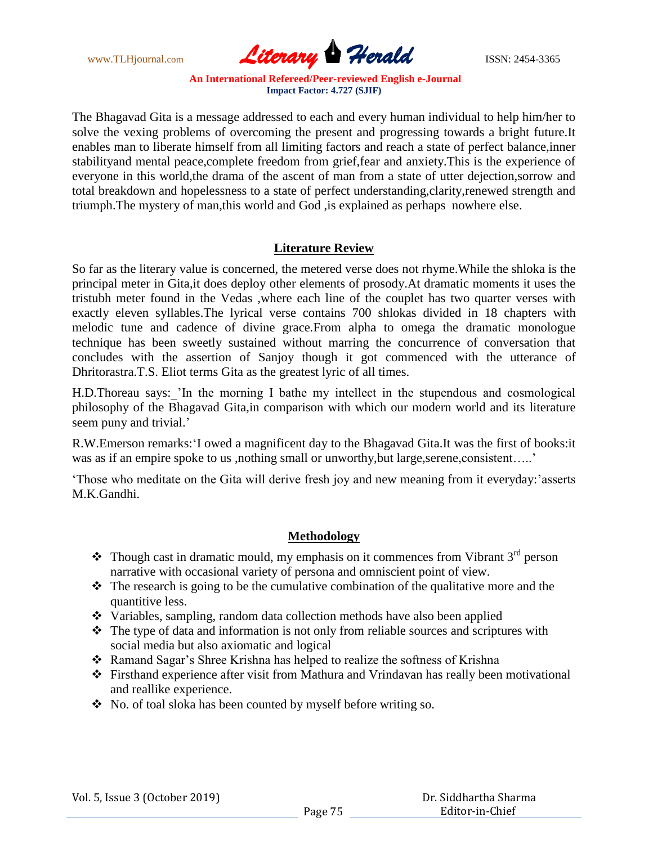

The Bhagavad Gita is a message addressed to each and every human individual to help him/her to solve the vexing problems of overcoming the present and progressing towards a bright future.It enables man to liberate himself from all limiting factors and reach a state of perfect balance,inner stabilityand mental peace,complete freedom from grief,fear and anxiety.This is the experience of everyone in this world,the drama of the ascent of man from a state of utter dejection,sorrow and total breakdown and hopelessness to a state of perfect understanding,clarity,renewed strength and triumph.The mystery of man,this world and God ,is explained as perhaps nowhere else.

# **Literature Review**

So far as the literary value is concerned, the metered verse does not rhyme.While the shloka is the principal meter in Gita,it does deploy other elements of prosody.At dramatic moments it uses the tristubh meter found in the Vedas ,where each line of the couplet has two quarter verses with exactly eleven syllables.The lyrical verse contains 700 shlokas divided in 18 chapters with melodic tune and cadence of divine grace.From alpha to omega the dramatic monologue technique has been sweetly sustained without marring the concurrence of conversation that concludes with the assertion of Sanjoy though it got commenced with the utterance of Dhritorastra.T.S. Eliot terms Gita as the greatest lyric of all times.

H.D.Thoreau says:\_"In the morning I bathe my intellect in the stupendous and cosmological philosophy of the Bhagavad Gita,in comparison with which our modern world and its literature seem puny and trivial.'

R.W.Emerson remarks:"I owed a magnificent day to the Bhagavad Gita.It was the first of books:it was as if an empire spoke to us ,nothing small or unworthy, but large, serene, consistent....."

"Those who meditate on the Gita will derive fresh joy and new meaning from it everyday:"asserts M.K.Gandhi.

### **Methodology**

- $\bullet$  Though cast in dramatic mould, my emphasis on it commences from Vibrant 3<sup>rd</sup> person narrative with occasional variety of persona and omniscient point of view.
- $\hat{\mathbf{\cdot}}$  The research is going to be the cumulative combination of the qualitative more and the quantitive less.
- Variables, sampling, random data collection methods have also been applied
- $\triangle$  The type of data and information is not only from reliable sources and scriptures with social media but also axiomatic and logical
- Ramand Sagar"s Shree Krishna has helped to realize the softness of Krishna
- Firsthand experience after visit from Mathura and Vrindavan has really been motivational and reallike experience.
- No. of toal sloka has been counted by myself before writing so.